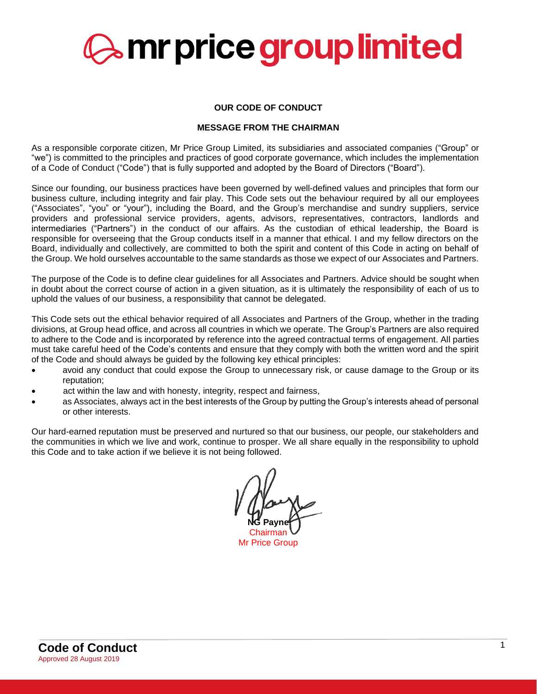# $\rightarrow$  mr price group limited

#### **OUR CODE OF CONDUCT**

#### **MESSAGE FROM THE CHAIRMAN**

As a responsible corporate citizen, Mr Price Group Limited, its subsidiaries and associated companies ("Group" or "we") is committed to the principles and practices of good corporate governance, which includes the implementation of a Code of Conduct ("Code") that is fully supported and adopted by the Board of Directors ("Board").

Since our founding, our business practices have been governed by well-defined values and principles that form our business culture, including integrity and fair play. This Code sets out the behaviour required by all our employees ("Associates", "you" or "your"), including the Board, and the Group's merchandise and sundry suppliers, service providers and professional service providers, agents, advisors, representatives, contractors, landlords and intermediaries ("Partners") in the conduct of our affairs. As the custodian of ethical leadership, the Board is responsible for overseeing that the Group conducts itself in a manner that ethical. I and my fellow directors on the Board, individually and collectively, are committed to both the spirit and content of this Code in acting on behalf of the Group. We hold ourselves accountable to the same standards as those we expect of our Associates and Partners.

The purpose of the Code is to define clear guidelines for all Associates and Partners. Advice should be sought when in doubt about the correct course of action in a given situation, as it is ultimately the responsibility of each of us to uphold the values of our business, a responsibility that cannot be delegated.

This Code sets out the ethical behavior required of all Associates and Partners of the Group, whether in the trading divisions, at Group head office, and across all countries in which we operate. The Group's Partners are also required to adhere to the Code and is incorporated by reference into the agreed contractual terms of engagement. All parties must take careful heed of the Code's contents and ensure that they comply with both the written word and the spirit of the Code and should always be guided by the following key ethical principles:

- avoid any conduct that could expose the Group to unnecessary risk, or cause damage to the Group or its reputation;
- act within the law and with honesty, integrity, respect and fairness,
- as Associates, always act in the best interests of the Group by putting the Group's interests ahead of personal or other interests.

Our hard-earned reputation must be preserved and nurtured so that our business, our people, our stakeholders and the communities in which we live and work, continue to prosper. We all share equally in the responsibility to uphold this Code and to take action if we believe it is not being followed.

**NG Payne** Chairman Mr Price Group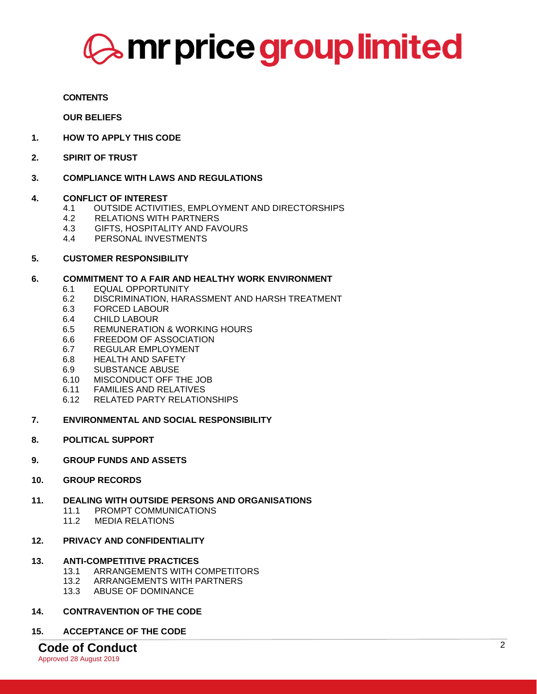# **Amr price group limited**

#### **CONTENTS**

**OUR BELIEFS**

- **1. HOW TO APPLY THIS CODE**
- **2. SPIRIT OF TRUST**

#### **3. COMPLIANCE WITH LAWS AND REGULATIONS**

#### **4. CONFLICT OF INTEREST**

- 4.1 OUTSIDE ACTIVITIES, EMPLOYMENT AND DIRECTORSHIPS
- 4.2 RELATIONS WITH PARTNERS
- 4.3 GIFTS, HOSPITALITY AND FAVOURS
- 4.4 PERSONAL INVESTMENTS

#### **5. CUSTOMER RESPONSIBILITY**

#### **6. COMMITMENT TO A FAIR AND HEALTHY WORK ENVIRONMENT**

- 6.1 EQUAL OPPORTUNITY
- 6.2 DISCRIMINATION, HARASSMENT AND HARSH TREATMENT
- 6.3 FORCED LABOUR
- 6.4 CHILD LABOUR
- 6.5 REMUNERATION & WORKING HOURS
- 6.6 FREEDOM OF ASSOCIATION
- 6.7 REGULAR EMPLOYMENT
- 6.8 HEALTH AND SAFETY
- 6.9 SUBSTANCE ABUSE
- 6.10 MISCONDUCT OFF THE JOB
- 6.11 FAMILIES AND RELATIVES
- 6.12 RELATED PARTY RELATIONSHIPS
- **7. ENVIRONMENTAL AND SOCIAL RESPONSIBILITY**
- **8. POLITICAL SUPPORT**
- **9. GROUP FUNDS AND ASSETS**
- **10. GROUP RECORDS**
- **11. DEALING WITH OUTSIDE PERSONS AND ORGANISATIONS**
	- 11.1 PROMPT COMMUNICATIONS
	- 11.2 MEDIA RELATIONS
- **12. PRIVACY AND CONFIDENTIALITY**

#### **13. ANTI-COMPETITIVE PRACTICES**

- 13.1 ARRANGEMENTS WITH COMPETITORS
- 13.2 ARRANGEMENTS WITH PARTNERS
- 13.3 ABUSE OF DOMINANCE

#### **14. CONTRAVENTION OF THE CODE**

#### **15. ACCEPTANCE OF THE CODE**

# **Code of Conduct** 2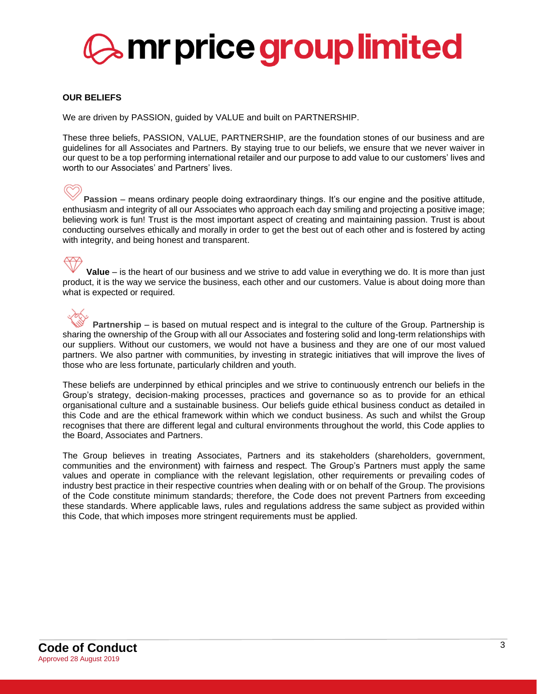# $\geqslant$  mr price group limited

#### **OUR BELIEFS**

We are driven by PASSION, guided by VALUE and built on PARTNERSHIP.

These three beliefs, PASSION, VALUE, PARTNERSHIP, are the foundation stones of our business and are guidelines for all Associates and Partners. By staying true to our beliefs, we ensure that we never waiver in our quest to be a top performing international retailer and our purpose to add value to our customers' lives and worth to our Associates' and Partners' lives.

**Passion** – means ordinary people doing extraordinary things. It's our engine and the positive attitude, enthusiasm and integrity of all our Associates who approach each day smiling and projecting a positive image; believing work is fun! Trust is the most important aspect of creating and maintaining passion. Trust is about conducting ourselves ethically and morally in order to get the best out of each other and is fostered by acting with integrity, and being honest and transparent.

**Value** – is the heart of our business and we strive to add value in everything we do. It is more than just product, it is the way we service the business, each other and our customers. Value is about doing more than what is expected or required.

**Partnership** – is based on mutual respect and is integral to the culture of the Group. Partnership is sharing the ownership of the Group with all our Associates and fostering solid and long-term relationships with our suppliers. Without our customers, we would not have a business and they are one of our most valued partners. We also partner with communities, by investing in strategic initiatives that will improve the lives of those who are less fortunate, particularly children and youth.

These beliefs are underpinned by ethical principles and we strive to continuously entrench our beliefs in the Group's strategy, decision-making processes, practices and governance so as to provide for an ethical organisational culture and a sustainable business. Our beliefs guide ethical business conduct as detailed in this Code and are the ethical framework within which we conduct business. As such and whilst the Group recognises that there are different legal and cultural environments throughout the world, this Code applies to the Board, Associates and Partners.

The Group believes in treating Associates, Partners and its stakeholders (shareholders, government, communities and the environment) with fairness and respect. The Group's Partners must apply the same values and operate in compliance with the relevant legislation, other requirements or prevailing codes of industry best practice in their respective countries when dealing with or on behalf of the Group. The provisions of the Code constitute minimum standards; therefore, the Code does not prevent Partners from exceeding these standards. Where applicable laws, rules and regulations address the same subject as provided within this Code, that which imposes more stringent requirements must be applied.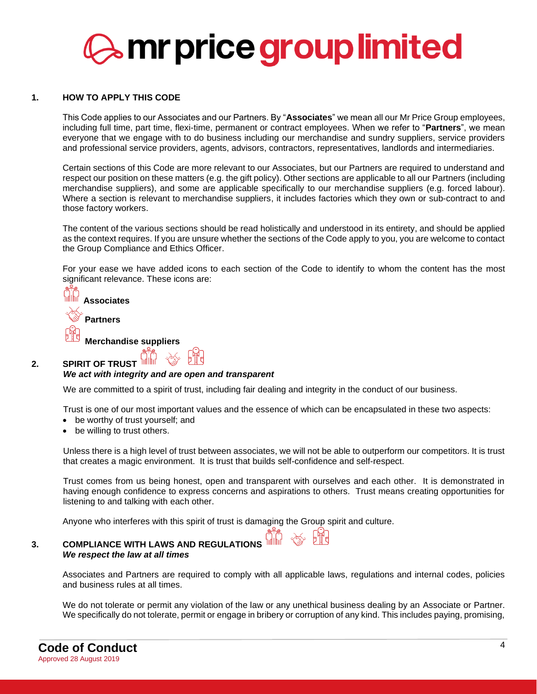# **a** mr price group limited

#### **1. HOW TO APPLY THIS CODE**

This Code applies to our Associates and our Partners. By "**Associates**" we mean all our Mr Price Group employees, including full time, part time, flexi-time, permanent or contract employees. When we refer to "**Partners**", we mean everyone that we engage with to do business including our merchandise and sundry suppliers, service providers and professional service providers, agents, advisors, contractors, representatives, landlords and intermediaries.

Certain sections of this Code are more relevant to our Associates, but our Partners are required to understand and respect our position on these matters (e.g. the gift policy). Other sections are applicable to all our Partners (including merchandise suppliers), and some are applicable specifically to our merchandise suppliers (e.g. forced labour). Where a section is relevant to merchandise suppliers, it includes factories which they own or sub-contract to and those factory workers.

The content of the various sections should be read holistically and understood in its entirety, and should be applied as the context requires. If you are unsure whether the sections of the Code apply to you, you are welcome to contact the Group Compliance and Ethics Officer.

For your ease we have added icons to each section of the Code to identify to whom the content has the most significant relevance. These icons are:



#### **2. SPIRIT OF TRUST**  *We act with integrity and are open and transparent*

We are committed to a spirit of trust, including fair dealing and integrity in the conduct of our business.

Trust is one of our most important values and the essence of which can be encapsulated in these two aspects:

- be worthy of trust yourself; and
- be willing to trust others.

Unless there is a high level of trust between associates, we will not be able to outperform our competitors. It is trust that creates a magic environment. It is trust that builds self-confidence and self-respect.

Trust comes from us being honest, open and transparent with ourselves and each other. It is demonstrated in having enough confidence to express concerns and aspirations to others. Trust means creating opportunities for listening to and talking with each other.

Anyone who interferes with this spirit of trust is damaging the Group spirit and culture.

# **3. COMPLIANCE WITH LAWS AND REGULATIONS** *We respect the law at all times*

Associates and Partners are required to comply with all applicable laws, regulations and internal codes, policies and business rules at all times.

We do not tolerate or permit any violation of the law or any unethical business dealing by an Associate or Partner. We specifically do not tolerate, permit or engage in bribery or corruption of any kind. This includes paying, promising,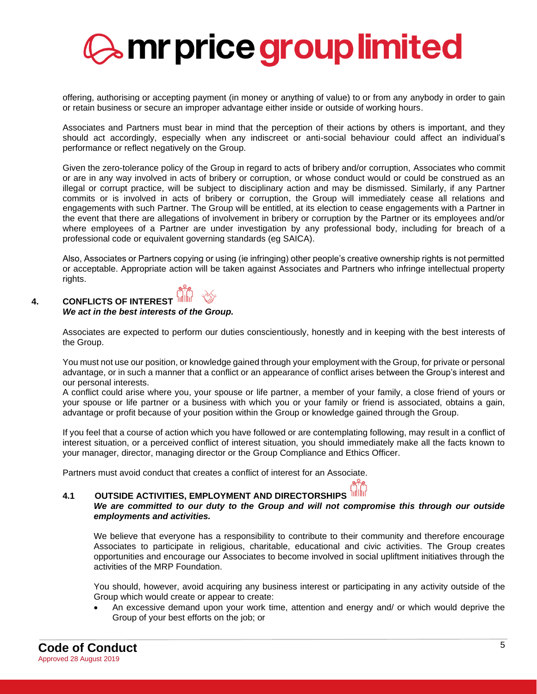# $\geqslant$  mr price group limited

offering, authorising or accepting payment (in money or anything of value) to or from any anybody in order to gain or retain business or secure an improper advantage either inside or outside of working hours.

Associates and Partners must bear in mind that the perception of their actions by others is important, and they should act accordingly, especially when any indiscreet or anti-social behaviour could affect an individual's performance or reflect negatively on the Group.

Given the zero-tolerance policy of the Group in regard to acts of bribery and/or corruption, Associates who commit or are in any way involved in acts of bribery or corruption, or whose conduct would or could be construed as an illegal or corrupt practice, will be subject to disciplinary action and may be dismissed. Similarly, if any Partner commits or is involved in acts of bribery or corruption, the Group will immediately cease all relations and engagements with such Partner. The Group will be entitled, at its election to cease engagements with a Partner in the event that there are allegations of involvement in bribery or corruption by the Partner or its employees and/or where employees of a Partner are under investigation by any professional body, including for breach of a professional code or equivalent governing standards (eg SAICA).

Also, Associates or Partners copying or using (ie infringing) other people's creative ownership rights is not permitted or acceptable. Appropriate action will be taken against Associates and Partners who infringe intellectual property rights.

### **4. CONFLICTS OF INTEREST**  *We act in the best interests of the Group.*

Associates are expected to perform our duties conscientiously, honestly and in keeping with the best interests of the Group.

You must not use our position, or knowledge gained through your employment with the Group, for private or personal advantage, or in such a manner that a conflict or an appearance of conflict arises between the Group's interest and our personal interests.

A conflict could arise where you, your spouse or life partner, a member of your family, a close friend of yours or your spouse or life partner or a business with which you or your family or friend is associated, obtains a gain, advantage or profit because of your position within the Group or knowledge gained through the Group.

If you feel that a course of action which you have followed or are contemplating following, may result in a conflict of interest situation, or a perceived conflict of interest situation, you should immediately make all the facts known to your manager, director, managing director or the Group Compliance and Ethics Officer.

Partners must avoid conduct that creates a conflict of interest for an Associate.

# **4.1 OUTSIDE ACTIVITIES, EMPLOYMENT AND DIRECTORSHIPS**

#### *We are committed to our duty to the Group and will not compromise this through our outside employments and activities.*

We believe that everyone has a responsibility to contribute to their community and therefore encourage Associates to participate in religious, charitable, educational and civic activities. The Group creates opportunities and encourage our Associates to become involved in social upliftment initiatives through the activities of the MRP Foundation.

You should, however, avoid acquiring any business interest or participating in any activity outside of the Group which would create or appear to create:

• An excessive demand upon your work time, attention and energy and/ or which would deprive the Group of your best efforts on the job; or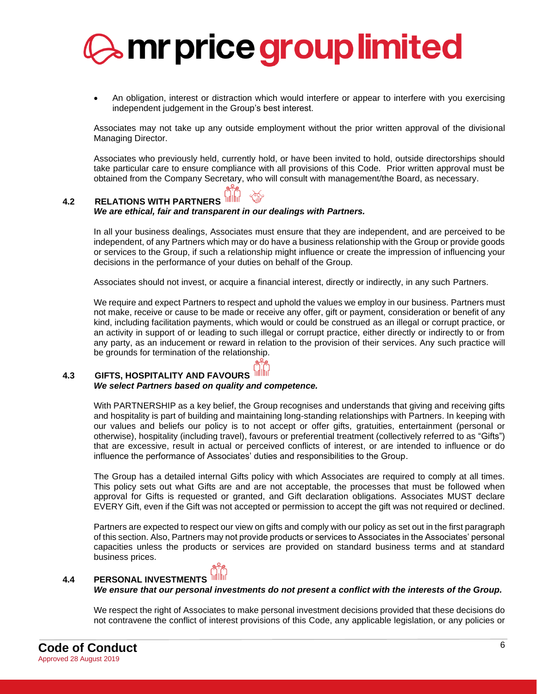

• An obligation, interest or distraction which would interfere or appear to interfere with you exercising independent judgement in the Group's best interest.

Associates may not take up any outside employment without the prior written approval of the divisional Managing Director.

Associates who previously held, currently hold, or have been invited to hold, outside directorships should take particular care to ensure compliance with all provisions of this Code. Prior written approval must be obtained from the Company Secretary, who will consult with management/the Board, as necessary.

### **4.2 RELATIONS WITH PARTNERS**  *We are ethical, fair and transparent in our dealings with Partners.*

In all your business dealings, Associates must ensure that they are independent, and are perceived to be independent, of any Partners which may or do have a business relationship with the Group or provide goods or services to the Group, if such a relationship might influence or create the impression of influencing your decisions in the performance of your duties on behalf of the Group.

Associates should not invest, or acquire a financial interest, directly or indirectly, in any such Partners.

We require and expect Partners to respect and uphold the values we employ in our business. Partners must not make, receive or cause to be made or receive any offer, gift or payment, consideration or benefit of any kind, including facilitation payments, which would or could be construed as an illegal or corrupt practice, or an activity in support of or leading to such illegal or corrupt practice, either directly or indirectly to or from any party, as an inducement or reward in relation to the provision of their services. Any such practice will be grounds for termination of the relationship.

#### **4.3 GIFTS, HOSPITALITY AND FAVOURS**  *We select Partners based on quality and competence.*

With PARTNERSHIP as a key belief, the Group recognises and understands that giving and receiving gifts and hospitality is part of building and maintaining long-standing relationships with Partners. In keeping with our values and beliefs our policy is to not accept or offer gifts, gratuities, entertainment (personal or otherwise), hospitality (including travel), favours or preferential treatment (collectively referred to as "Gifts") that are excessive, result in actual or perceived conflicts of interest, or are intended to influence or do influence the performance of Associates' duties and responsibilities to the Group.

The Group has a detailed internal Gifts policy with which Associates are required to comply at all times. This policy sets out what Gifts are and are not acceptable, the processes that must be followed when approval for Gifts is requested or granted, and Gift declaration obligations. Associates MUST declare EVERY Gift, even if the Gift was not accepted or permission to accept the gift was not required or declined.

Partners are expected to respect our view on gifts and comply with our policy as set out in the first paragraph of this section. Also, Partners may not provide products or services to Associates in the Associates' personal capacities unless the products or services are provided on standard business terms and at standard business prices.

#### **4.4 PERSONAL INVESTMENTS**

#### *We ensure that our personal investments do not present a conflict with the interests of the Group.*

We respect the right of Associates to make personal investment decisions provided that these decisions do not contravene the conflict of interest provisions of this Code, any applicable legislation, or any policies or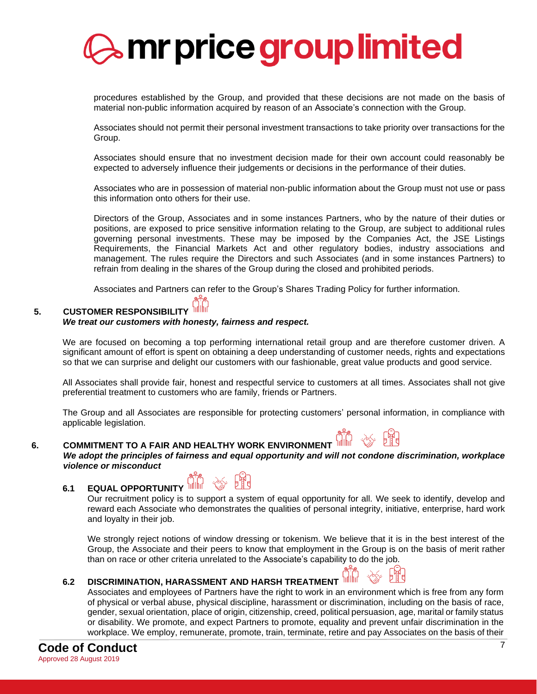

procedures established by the Group, and provided that these decisions are not made on the basis of material non-public information acquired by reason of an Associate's connection with the Group.

Associates should not permit their personal investment transactions to take priority over transactions for the Group.

Associates should ensure that no investment decision made for their own account could reasonably be expected to adversely influence their judgements or decisions in the performance of their duties.

Associates who are in possession of material non-public information about the Group must not use or pass this information onto others for their use.

Directors of the Group, Associates and in some instances Partners, who by the nature of their duties or positions, are exposed to price sensitive information relating to the Group, are subject to additional rules governing personal investments. These may be imposed by the Companies Act, the JSE Listings Requirements, the Financial Markets Act and other regulatory bodies, industry associations and management. The rules require the Directors and such Associates (and in some instances Partners) to refrain from dealing in the shares of the Group during the closed and prohibited periods.

Associates and Partners can refer to the Group's Shares Trading Policy for further information.

#### **5. CUSTOMER RESPONSIBILITY**

#### *We treat our customers with honesty, fairness and respect.*

We are focused on becoming a top performing international retail group and are therefore customer driven. A significant amount of effort is spent on obtaining a deep understanding of customer needs, rights and expectations so that we can surprise and delight our customers with our fashionable, great value products and good service.

All Associates shall provide fair, honest and respectful service to customers at all times. Associates shall not give preferential treatment to customers who are family, friends or Partners.

The Group and all Associates are responsible for protecting customers' personal information, in compliance with applicable legislation.

#### **6. COMMITMENT TO A FAIR AND HEALTHY WORK ENVIRONMENT** *We adopt the principles of fairness and equal opportunity and will not condone discrimination, workplace violence or misconduct*

## **6.1 EQUAL OPPORTUNITY**



Our recruitment policy is to support a system of equal opportunity for all. We seek to identify, develop and reward each Associate who demonstrates the qualities of personal integrity, initiative, enterprise, hard work and loyalty in their job.

We strongly reject notions of window dressing or tokenism. We believe that it is in the best interest of the Group, the Associate and their peers to know that employment in the Group is on the basis of merit rather than on race or other criteria unrelated to the Associate's capability to do the job.

#### **6.2 DISCRIMINATION, HARASSMENT AND HARSH TREATMENT**

Associates and employees of Partners have the right to work in an environment which is free from any form of physical or verbal abuse, physical discipline, harassment or discrimination, including on the basis of race, gender, sexual orientation, place of origin, citizenship, creed, political persuasion, age, marital or family status or disability. We promote, and expect Partners to promote, equality and prevent unfair discrimination in the workplace. We employ, remunerate, promote, train, terminate, retire and pay Associates on the basis of their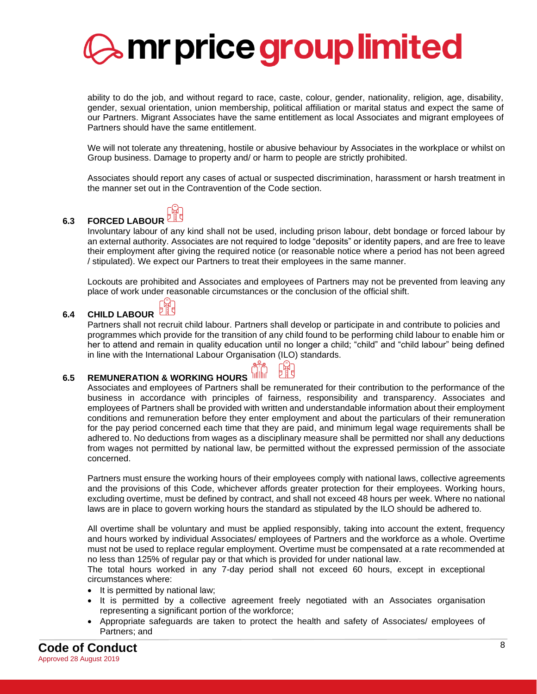

ability to do the job, and without regard to race, caste, colour, gender, nationality, religion, age, disability, gender, sexual orientation, union membership, political affiliation or marital status and expect the same of our Partners. Migrant Associates have the same entitlement as local Associates and migrant employees of Partners should have the same entitlement.

We will not tolerate any threatening, hostile or abusive behaviour by Associates in the workplace or whilst on Group business. Damage to property and/ or harm to people are strictly prohibited.

Associates should report any cases of actual or suspected discrimination, harassment or harsh treatment in the manner set out in the Contravention of the Code section.

|     | <b>FORCED LABOUR</b> |  |
|-----|----------------------|--|
| 6.3 |                      |  |

Involuntary labour of any kind shall not be used, including prison labour, debt bondage or forced labour by an external authority. Associates are not required to lodge "deposits" or identity papers, and are free to leave their employment after giving the required notice (or reasonable notice where a period has not been agreed / stipulated). We expect our Partners to treat their employees in the same manner.

Lockouts are prohibited and Associates and employees of Partners may not be prevented from leaving any place of work under reasonable circumstances or the conclusion of the official shift.



## **6.4 CHILD LABOUR**

Partners shall not recruit child labour. Partners shall develop or participate in and contribute to policies and programmes which provide for the transition of any child found to be performing child labour to enable him or her to attend and remain in quality education until no longer a child; "child" and "child labour" being defined in line with the International Labour Organisation (ILO) standards.

#### **6.5 REMUNERATION & WORKING HOURS**

Associates and employees of Partners shall be remunerated for their contribution to the performance of the business in accordance with principles of fairness, responsibility and transparency. Associates and employees of Partners shall be provided with written and understandable information about their employment conditions and remuneration before they enter employment and about the particulars of their remuneration for the pay period concerned each time that they are paid, and minimum legal wage requirements shall be adhered to. No deductions from wages as a disciplinary measure shall be permitted nor shall any deductions from wages not permitted by national law, be permitted without the expressed permission of the associate concerned.

Partners must ensure the working hours of their employees comply with national laws, collective agreements and the provisions of this Code, whichever affords greater protection for their employees. Working hours, excluding overtime, must be defined by contract, and shall not exceed 48 hours per week. Where no national laws are in place to govern working hours the standard as stipulated by the ILO should be adhered to.

All overtime shall be voluntary and must be applied responsibly, taking into account the extent, frequency and hours worked by individual Associates/ employees of Partners and the workforce as a whole. Overtime must not be used to replace regular employment. Overtime must be compensated at a rate recommended at no less than 125% of regular pay or that which is provided for under national law.

The total hours worked in any 7-day period shall not exceed 60 hours, except in exceptional circumstances where:

- It is permitted by national law;
- It is permitted by a collective agreement freely negotiated with an Associates organisation representing a significant portion of the workforce;
- Appropriate safeguards are taken to protect the health and safety of Associates/ employees of Partners; and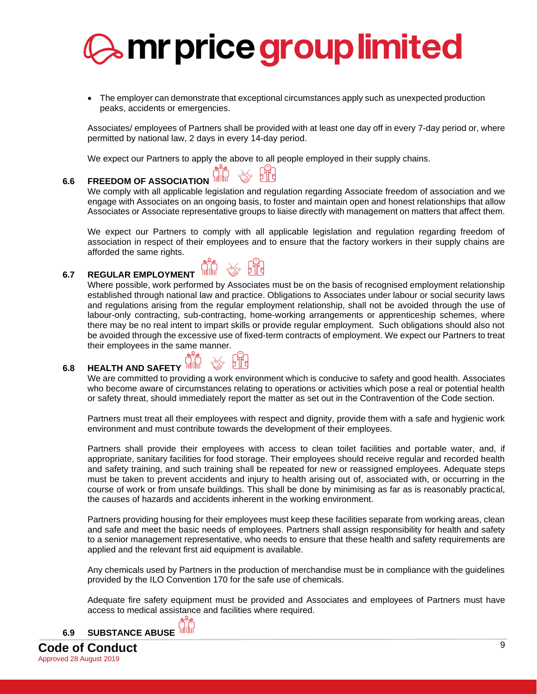# **Inrprice group limited**

• The employer can demonstrate that exceptional circumstances apply such as unexpected production peaks, accidents or emergencies.

Associates/ employees of Partners shall be provided with at least one day off in every 7-day period or, where permitted by national law, 2 days in every 14-day period.

We expect our Partners to apply the above to all people employed in their supply chains.

### **6.6 FREEDOM OF ASSOCIATION**

We comply with all applicable legislation and regulation regarding Associate freedom of association and we engage with Associates on an ongoing basis, to foster and maintain open and honest relationships that allow Associates or Associate representative groups to liaise directly with management on matters that affect them.

We expect our Partners to comply with all applicable legislation and regulation regarding freedom of association in respect of their employees and to ensure that the factory workers in their supply chains are afforded the same rights.

#### **6.7 REGULAR EMPLOYMENT**



Where possible, work performed by Associates must be on the basis of recognised employment relationship established through national law and practice. Obligations to Associates under labour or social security laws and regulations arising from the regular employment relationship, shall not be avoided through the use of labour-only contracting, sub-contracting, home-working arrangements or apprenticeship schemes, where there may be no real intent to impart skills or provide regular employment. Such obligations should also not be avoided through the excessive use of fixed-term contracts of employment. We expect our Partners to treat their employees in the same manner.

# **6.8 HEALTH AND SAFETY WITH**



We are committed to providing a work environment which is conducive to safety and good health. Associates who become aware of circumstances relating to operations or activities which pose a real or potential health or safety threat, should immediately report the matter as set out in the Contravention of the Code section.

Partners must treat all their employees with respect and dignity, provide them with a safe and hygienic work environment and must contribute towards the development of their employees.

Partners shall provide their employees with access to clean toilet facilities and portable water, and, if appropriate, sanitary facilities for food storage. Their employees should receive regular and recorded health and safety training, and such training shall be repeated for new or reassigned employees. Adequate steps must be taken to prevent accidents and injury to health arising out of, associated with, or occurring in the course of work or from unsafe buildings. This shall be done by minimising as far as is reasonably practical, the causes of hazards and accidents inherent in the working environment.

Partners providing housing for their employees must keep these facilities separate from working areas, clean and safe and meet the basic needs of employees. Partners shall assign responsibility for health and safety to a senior management representative, who needs to ensure that these health and safety requirements are applied and the relevant first aid equipment is available.

Any chemicals used by Partners in the production of merchandise must be in compliance with the guidelines provided by the ILO Convention 170 for the safe use of chemicals.

Adequate fire safety equipment must be provided and Associates and employees of Partners must have access to medical assistance and facilities where required.

# **6.9 SUBSTANCE ABUSE**

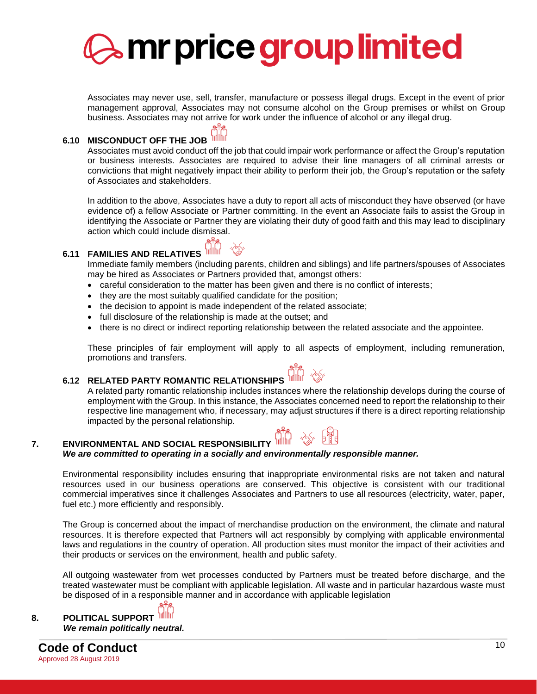

Associates may never use, sell, transfer, manufacture or possess illegal drugs. Except in the event of prior management approval, Associates may not consume alcohol on the Group premises or whilst on Group business. Associates may not arrive for work under the influence of alcohol or any illegal drug.

### **6.10 MISCONDUCT OFF THE JOB**

Associates must avoid conduct off the job that could impair work performance or affect the Group's reputation or business interests. Associates are required to advise their line managers of all criminal arrests or convictions that might negatively impact their ability to perform their job, the Group's reputation or the safety of Associates and stakeholders.

In addition to the above, Associates have a duty to report all acts of misconduct they have observed (or have evidence of) a fellow Associate or Partner committing. In the event an Associate fails to assist the Group in identifying the Associate or Partner they are violating their duty of good faith and this may lead to disciplinary action which could include dismissal.

# **6.11 FAMILIES AND RELATIVES**



Immediate family members (including parents, children and siblings) and life partners/spouses of Associates may be hired as Associates or Partners provided that, amongst others:

- careful consideration to the matter has been given and there is no conflict of interests;
- they are the most suitably qualified candidate for the position;
- the decision to appoint is made independent of the related associate;
- full disclosure of the relationship is made at the outset; and
- there is no direct or indirect reporting relationship between the related associate and the appointee.

These principles of fair employment will apply to all aspects of employment, including remuneration, promotions and transfers.

#### **6.12 RELATED PARTY ROMANTIC RELATIONSHIPS**

A related party romantic relationship includes instances where the relationship develops during the course of employment with the Group. In this instance, the Associates concerned need to report the relationship to their respective line management who, if necessary, may adjust structures if there is a direct reporting relationship impacted by the personal relationship.

#### **7. ENVIRONMENTAL AND SOCIAL RESPONSIBILITY**

#### *We are committed to operating in a socially and environmentally responsible manner.*

Environmental responsibility includes ensuring that inappropriate environmental risks are not taken and natural resources used in our business operations are conserved. This objective is consistent with our traditional commercial imperatives since it challenges Associates and Partners to use all resources (electricity, water, paper, fuel etc.) more efficiently and responsibly.

The Group is concerned about the impact of merchandise production on the environment, the climate and natural resources. It is therefore expected that Partners will act responsibly by complying with applicable environmental laws and regulations in the country of operation. All production sites must monitor the impact of their activities and their products or services on the environment, health and public safety.

All outgoing wastewater from wet processes conducted by Partners must be treated before discharge, and the treated wastewater must be compliant with applicable legislation. All waste and in particular hazardous waste must be disposed of in a responsible manner and in accordance with applicable legislation

**8. POLITICAL SUPPORT** 

*We remain politically neutral.*



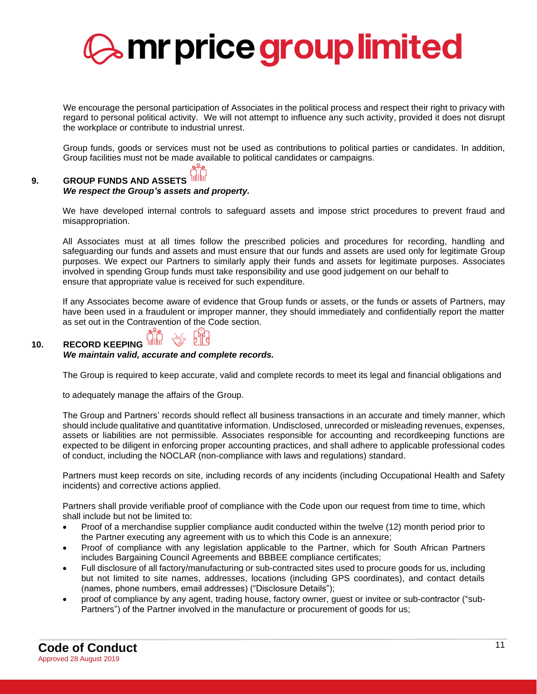

We encourage the personal participation of Associates in the political process and respect their right to privacy with regard to personal political activity. We will not attempt to influence any such activity, provided it does not disrupt the workplace or contribute to industrial unrest.

Group funds, goods or services must not be used as contributions to political parties or candidates. In addition, Group facilities must not be made available to political candidates or campaigns.

### **9. GROUP FUNDS AND ASSETS**  *We respect the Group's assets and property.*

We have developed internal controls to safeguard assets and impose strict procedures to prevent fraud and misappropriation.

All Associates must at all times follow the prescribed policies and procedures for recording, handling and safeguarding our funds and assets and must ensure that our funds and assets are used only for legitimate Group purposes. We expect our Partners to similarly apply their funds and assets for legitimate purposes. Associates involved in spending Group funds must take responsibility and use good judgement on our behalf to ensure that appropriate value is received for such expenditure.

If any Associates become aware of evidence that Group funds or assets, or the funds or assets of Partners, may have been used in a fraudulent or improper manner, they should immediately and confidentially report the matter as set out in the Contravention of the Code section.

**10. RECORD KEEPING** 

#### *We maintain valid, accurate and complete records.*

The Group is required to keep accurate, valid and complete records to meet its legal and financial obligations and

to adequately manage the affairs of the Group.

The Group and Partners' records should reflect all business transactions in an accurate and timely manner, which should include qualitative and quantitative information. Undisclosed, unrecorded or misleading revenues, expenses, assets or liabilities are not permissible. Associates responsible for accounting and recordkeeping functions are expected to be diligent in enforcing proper accounting practices, and shall adhere to applicable professional codes of conduct, including the NOCLAR (non-compliance with laws and regulations) standard.

Partners must keep records on site, including records of any incidents (including Occupational Health and Safety incidents) and corrective actions applied.

Partners shall provide verifiable proof of compliance with the Code upon our request from time to time, which shall include but not be limited to:

- Proof of a merchandise supplier compliance audit conducted within the twelve (12) month period prior to the Partner executing any agreement with us to which this Code is an annexure;
- Proof of compliance with any legislation applicable to the Partner, which for South African Partners includes Bargaining Council Agreements and BBBEE compliance certificates;
- Full disclosure of all factory/manufacturing or sub-contracted sites used to procure goods for us, including but not limited to site names, addresses, locations (including GPS coordinates), and contact details (names, phone numbers, email addresses) ("Disclosure Details");
- proof of compliance by any agent, trading house, factory owner, guest or invitee or sub-contractor ("sub-Partners") of the Partner involved in the manufacture or procurement of goods for us;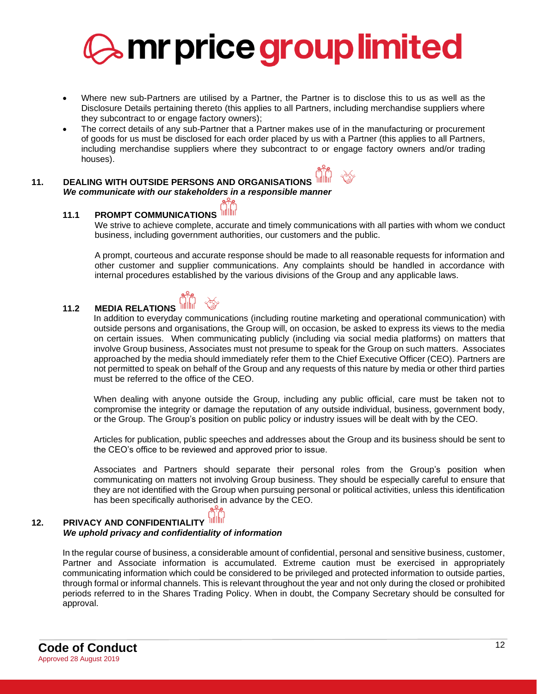# **a** mr price group limited

- Where new sub-Partners are utilised by a Partner, the Partner is to disclose this to us as well as the Disclosure Details pertaining thereto (this applies to all Partners, including merchandise suppliers where they subcontract to or engage factory owners);
- The correct details of any sub-Partner that a Partner makes use of in the manufacturing or procurement of goods for us must be disclosed for each order placed by us with a Partner (this applies to all Partners, including merchandise suppliers where they subcontract to or engage factory owners and/or trading houses).

#### **11. DEALING WITH OUTSIDE PERSONS AND ORGANISATIONS**  *We communicate with our stakeholders in a responsible manner*

### **11.1 PROMPT COMMUNICATIONS**

We strive to achieve complete, accurate and timely communications with all parties with whom we conduct business, including government authorities, our customers and the public.

A prompt, courteous and accurate response should be made to all reasonable requests for information and other customer and supplier communications. Any complaints should be handled in accordance with internal procedures established by the various divisions of the Group and any applicable laws.

### **11.2 MEDIA RELATIONS**

In addition to everyday communications (including routine marketing and operational communication) with outside persons and organisations, the Group will, on occasion, be asked to express its views to the media on certain issues. When communicating publicly (including via social media platforms) on matters that involve Group business, Associates must not presume to speak for the Group on such matters. Associates approached by the media should immediately refer them to the Chief Executive Officer (CEO). Partners are not permitted to speak on behalf of the Group and any requests of this nature by media or other third parties must be referred to the office of the CEO.

When dealing with anyone outside the Group, including any public official, care must be taken not to compromise the integrity or damage the reputation of any outside individual, business, government body, or the Group. The Group's position on public policy or industry issues will be dealt with by the CEO.

Articles for publication, public speeches and addresses about the Group and its business should be sent to the CEO's office to be reviewed and approved prior to issue.

Associates and Partners should separate their personal roles from the Group's position when communicating on matters not involving Group business. They should be especially careful to ensure that they are not identified with the Group when pursuing personal or political activities, unless this identification has been specifically authorised in advance by the CEO.

#### **12. PRIVACY AND CONFIDENTIALITY**  *We uphold privacy and confidentiality of information*

In the regular course of business, a considerable amount of confidential, personal and sensitive business, customer, Partner and Associate information is accumulated. Extreme caution must be exercised in appropriately communicating information which could be considered to be privileged and protected information to outside parties, through formal or informal channels. This is relevant throughout the year and not only during the closed or prohibited periods referred to in the Shares Trading Policy. When in doubt, the Company Secretary should be consulted for approval.

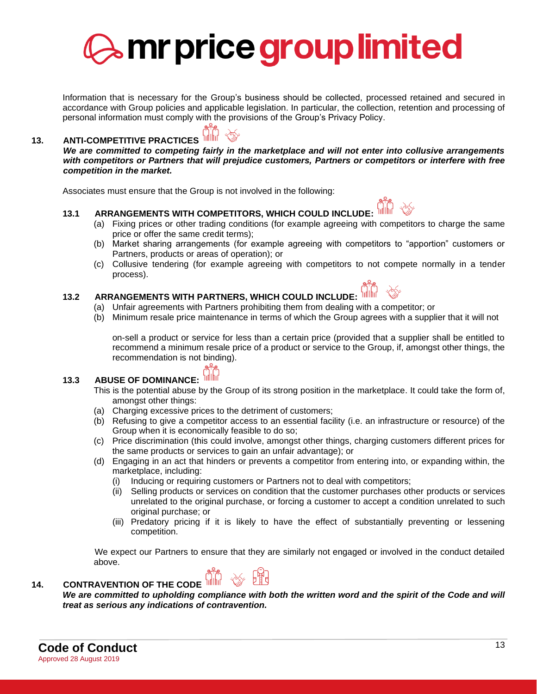

Information that is necessary for the Group's business should be collected, processed retained and secured in accordance with Group policies and applicable legislation. In particular, the collection, retention and processing of personal information must comply with the provisions of the Group's Privacy Policy.

## **13. ANTI-COMPETITIVE PRACTICES**

*We are committed to competing fairly in the marketplace and will not enter into collusive arrangements with competitors or Partners that will prejudice customers, Partners or competitors or interfere with free competition in the market.*

Associates must ensure that the Group is not involved in the following:

#### **13.1 ARRANGEMENTS WITH COMPETITORS, WHICH COULD INCLUDE:**

- (a) Fixing prices or other trading conditions (for example agreeing with competitors to charge the same price or offer the same credit terms);
- (b) Market sharing arrangements (for example agreeing with competitors to "apportion" customers or Partners, products or areas of operation); or
- (c) Collusive tendering (for example agreeing with competitors to not compete normally in a tender process).

#### **13.2 ARRANGEMENTS WITH PARTNERS, WHICH COULD INCLUDE:**

- (a) Unfair agreements with Partners prohibiting them from dealing with a competitor; or
- (b) Minimum resale price maintenance in terms of which the Group agrees with a supplier that it will not

on-sell a product or service for less than a certain price (provided that a supplier shall be entitled to recommend a minimum resale price of a product or service to the Group, if, amongst other things, the recommendation is not binding).

#### **13.3 ABUSE OF DOMINANCE:**

- This is the potential abuse by the Group of its strong position in the marketplace. It could take the form of, amongst other things:
- (a) Charging excessive prices to the detriment of customers;
- (b) Refusing to give a competitor access to an essential facility (i.e. an infrastructure or resource) of the Group when it is economically feasible to do so;
- (c) Price discrimination (this could involve, amongst other things, charging customers different prices for the same products or services to gain an unfair advantage); or
- (d) Engaging in an act that hinders or prevents a competitor from entering into, or expanding within, the marketplace, including:
	- (i) Inducing or requiring customers or Partners not to deal with competitors;
	- (ii) Selling products or services on condition that the customer purchases other products or services unrelated to the original purchase, or forcing a customer to accept a condition unrelated to such original purchase; or
	- (iii) Predatory pricing if it is likely to have the effect of substantially preventing or lessening competition.

We expect our Partners to ensure that they are similarly not engaged or involved in the conduct detailed above.

#### **14. CONTRAVENTION OF THE CODE**

We are committed to upholding compliance with both the written word and the spirit of the Code and will *treat as serious any indications of contravention.*